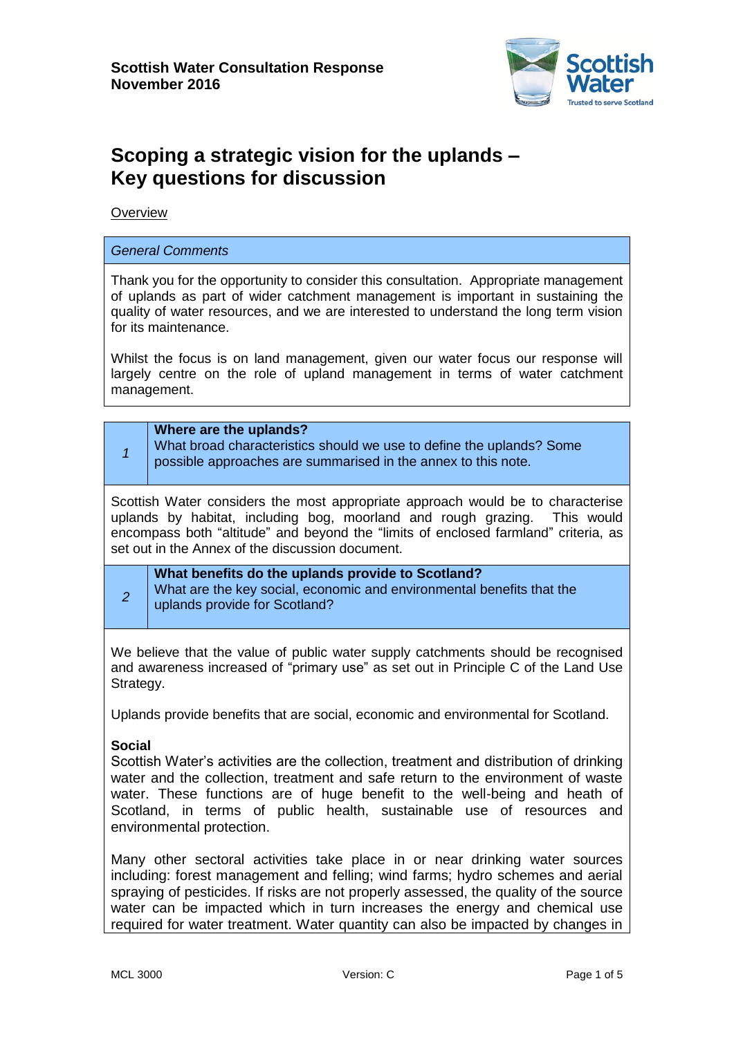

# **Scoping a strategic vision for the uplands – Key questions for discussion**

**Overview** 

## *General Comments*

Thank you for the opportunity to consider this consultation. Appropriate management of uplands as part of wider catchment management is important in sustaining the quality of water resources, and we are interested to understand the long term vision for its maintenance.

Whilst the focus is on land management, given our water focus our response will largely centre on the role of upland management in terms of water catchment management.

|                                                                                                                                                                                                                                                                                                         | Where are the uplands?<br>What broad characteristics should we use to define the uplands? Some<br>possible approaches are summarised in the annex to this note. |  |
|---------------------------------------------------------------------------------------------------------------------------------------------------------------------------------------------------------------------------------------------------------------------------------------------------------|-----------------------------------------------------------------------------------------------------------------------------------------------------------------|--|
| Scottish Water considers the most appropriate approach would be to characterise<br>uplands by habitat, including bog, moorland and rough grazing. This would<br>encompass both "altitude" and beyond the "limits of enclosed farmland" criteria, as<br>set out in the Annex of the discussion document. |                                                                                                                                                                 |  |
| 2                                                                                                                                                                                                                                                                                                       | What benefits do the uplands provide to Scotland?<br>What are the key social, economic and environmental benefits that the<br>uplands provide for Scotland?     |  |
| We believe that the value of public water supply catchments should be recognised<br>and awareness increased of "primary use" as set out in Principle C of the Land Llse                                                                                                                                 |                                                                                                                                                                 |  |

and awareness increased of "primary use" as set out in Principle C of the Land Use Strategy.

Uplands provide benefits that are social, economic and environmental for Scotland.

### **Social**

Scottish Water's activities are the collection, treatment and distribution of drinking water and the collection, treatment and safe return to the environment of waste water. These functions are of huge benefit to the well-being and heath of Scotland, in terms of public health, sustainable use of resources and environmental protection.

Many other sectoral activities take place in or near drinking water sources including: forest management and felling; wind farms; hydro schemes and aerial spraying of pesticides. If risks are not properly assessed, the quality of the source water can be impacted which in turn increases the energy and chemical use required for water treatment. Water quantity can also be impacted by changes in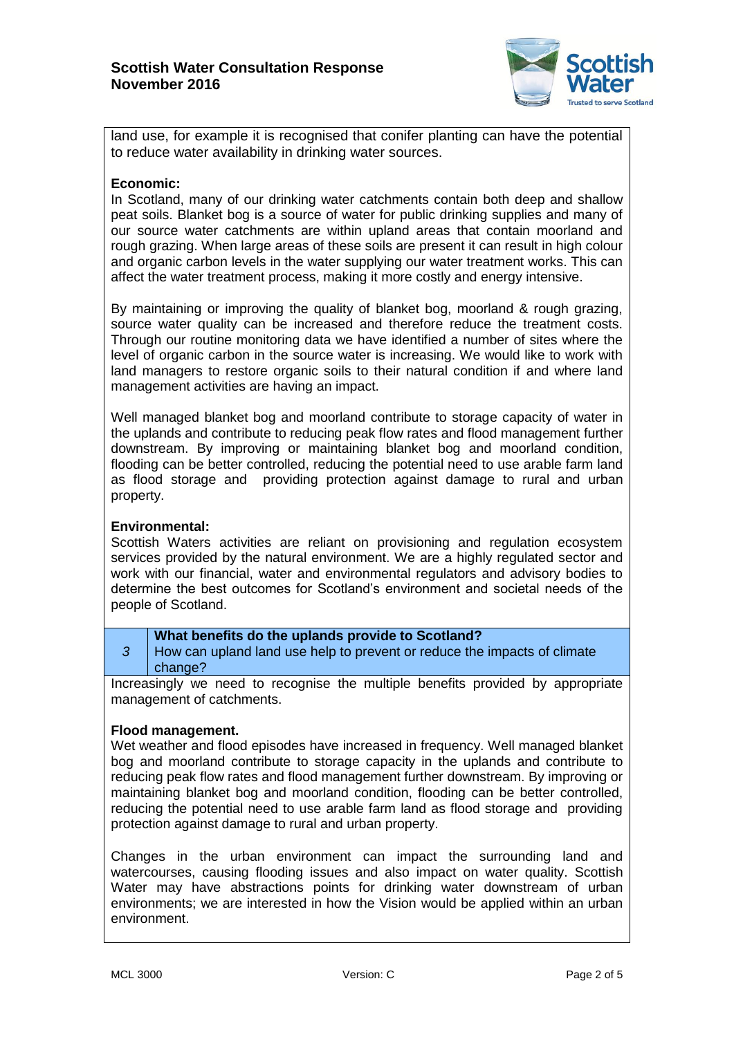

land use, for example it is recognised that conifer planting can have the potential to reduce water availability in drinking water sources.

## **Economic:**

In Scotland, many of our drinking water catchments contain both deep and shallow peat soils. Blanket bog is a source of water for public drinking supplies and many of our source water catchments are within upland areas that contain moorland and rough grazing. When large areas of these soils are present it can result in high colour and organic carbon levels in the water supplying our water treatment works. This can affect the water treatment process, making it more costly and energy intensive.

By maintaining or improving the quality of blanket bog, moorland & rough grazing, source water quality can be increased and therefore reduce the treatment costs. Through our routine monitoring data we have identified a number of sites where the level of organic carbon in the source water is increasing. We would like to work with land managers to restore organic soils to their natural condition if and where land management activities are having an impact.

Well managed blanket bog and moorland contribute to storage capacity of water in the uplands and contribute to reducing peak flow rates and flood management further downstream. By improving or maintaining blanket bog and moorland condition, flooding can be better controlled, reducing the potential need to use arable farm land as flood storage and providing protection against damage to rural and urban property.

# **Environmental:**

Scottish Waters activities are reliant on provisioning and regulation ecosystem services provided by the natural environment. We are a highly regulated sector and work with our financial, water and environmental regulators and advisory bodies to determine the best outcomes for Scotland's environment and societal needs of the people of Scotland.

## **What benefits do the uplands provide to Scotland?**

*3* How can upland land use help to prevent or reduce the impacts of climate change?

Increasingly we need to recognise the multiple benefits provided by appropriate management of catchments.

### **Flood management.**

Wet weather and flood episodes have increased in frequency. Well managed blanket bog and moorland contribute to storage capacity in the uplands and contribute to reducing peak flow rates and flood management further downstream. By improving or maintaining blanket bog and moorland condition, flooding can be better controlled, reducing the potential need to use arable farm land as flood storage and providing protection against damage to rural and urban property.

Changes in the urban environment can impact the surrounding land and watercourses, causing flooding issues and also impact on water quality. Scottish Water may have abstractions points for drinking water downstream of urban environments; we are interested in how the Vision would be applied within an urban environment.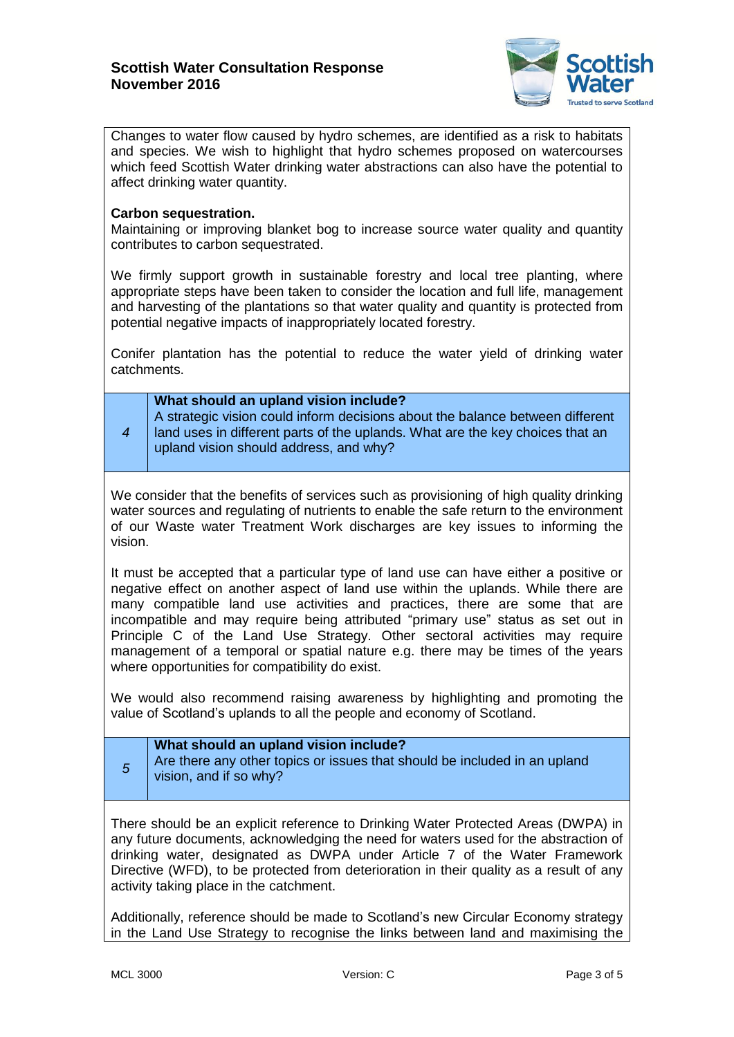

Changes to water flow caused by hydro schemes, are identified as a risk to habitats and species. We wish to highlight that hydro schemes proposed on watercourses which feed Scottish Water drinking water abstractions can also have the potential to affect drinking water quantity.

## **Carbon sequestration.**

Maintaining or improving blanket bog to increase source water quality and quantity contributes to carbon sequestrated.

We firmly support growth in sustainable forestry and local tree planting, where appropriate steps have been taken to consider the location and full life, management and harvesting of the plantations so that water quality and quantity is protected from potential negative impacts of inappropriately located forestry.

Conifer plantation has the potential to reduce the water yield of drinking water catchments.

| 4 | What should an upland vision include?<br>A strategic vision could inform decisions about the balance between different<br>I land uses in different parts of the uplands. What are the key choices that an |
|---|-----------------------------------------------------------------------------------------------------------------------------------------------------------------------------------------------------------|
|   | upland vision should address, and why?                                                                                                                                                                    |

We consider that the benefits of services such as provisioning of high quality drinking water sources and regulating of nutrients to enable the safe return to the environment of our Waste water Treatment Work discharges are key issues to informing the vision.

It must be accepted that a particular type of land use can have either a positive or negative effect on another aspect of land use within the uplands. While there are many compatible land use activities and practices, there are some that are incompatible and may require being attributed "primary use" status as set out in Principle C of the Land Use Strategy. Other sectoral activities may require management of a temporal or spatial nature e.g. there may be times of the years where opportunities for compatibility do exist.

We would also recommend raising awareness by highlighting and promoting the value of Scotland's uplands to all the people and economy of Scotland.

| What should an upland vision include?<br>Are there any other topics or issues that should be included in an upland<br>vision, and if so why? |
|----------------------------------------------------------------------------------------------------------------------------------------------|
|                                                                                                                                              |

There should be an explicit reference to Drinking Water Protected Areas (DWPA) in any future documents, acknowledging the need for waters used for the abstraction of drinking water, designated as DWPA under Article 7 of the Water Framework Directive (WFD), to be protected from deterioration in their quality as a result of any activity taking place in the catchment.

Additionally, reference should be made to Scotland's new Circular Economy strategy in the Land Use Strategy to recognise the links between land and maximising the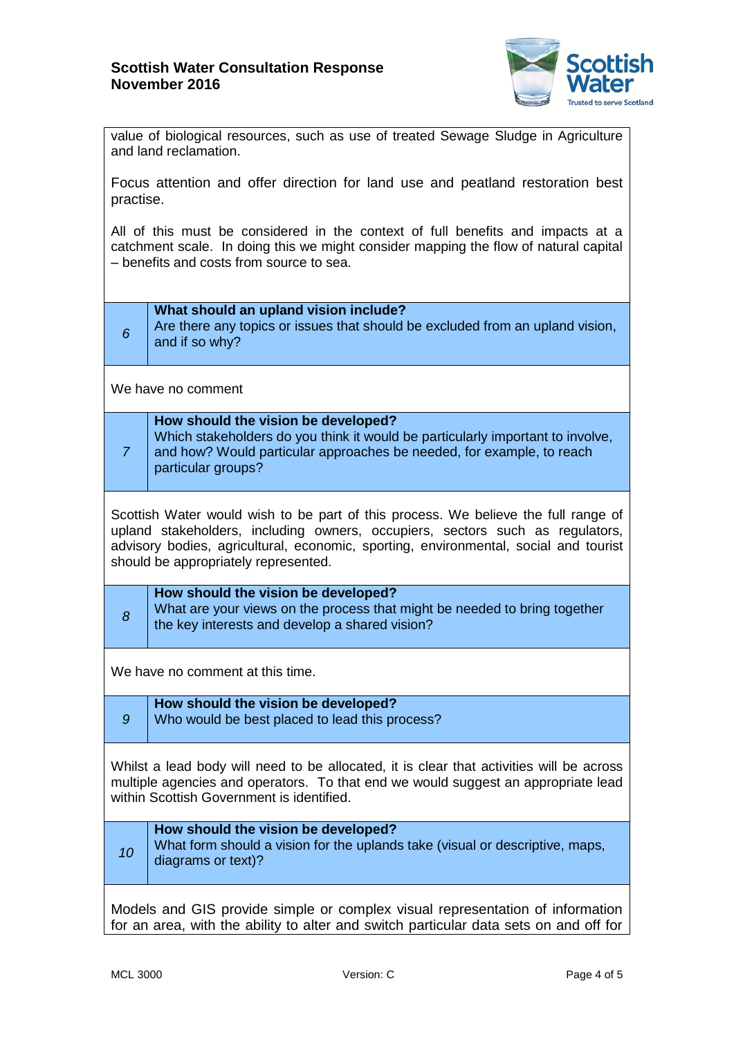

value of biological resources, such as use of treated Sewage Sludge in Agriculture and land reclamation.

Focus attention and offer direction for land use and peatland restoration best practise.

All of this must be considered in the context of full benefits and impacts at a catchment scale. In doing this we might consider mapping the flow of natural capital – benefits and costs from source to sea.

| 6                                                                                                                                                                                                                                                                                                   | What should an upland vision include?<br>Are there any topics or issues that should be excluded from an upland vision,<br>and if so why?                                                                             |  |
|-----------------------------------------------------------------------------------------------------------------------------------------------------------------------------------------------------------------------------------------------------------------------------------------------------|----------------------------------------------------------------------------------------------------------------------------------------------------------------------------------------------------------------------|--|
| We have no comment                                                                                                                                                                                                                                                                                  |                                                                                                                                                                                                                      |  |
| $\overline{7}$                                                                                                                                                                                                                                                                                      | How should the vision be developed?<br>Which stakeholders do you think it would be particularly important to involve,<br>and how? Would particular approaches be needed, for example, to reach<br>particular groups? |  |
| Scottish Water would wish to be part of this process. We believe the full range of<br>upland stakeholders, including owners, occupiers, sectors such as regulators,<br>advisory bodies, agricultural, economic, sporting, environmental, social and tourist<br>should be appropriately represented. |                                                                                                                                                                                                                      |  |
| 8                                                                                                                                                                                                                                                                                                   | How should the vision be developed?<br>What are your views on the process that might be needed to bring together<br>the key interests and develop a shared vision?                                                   |  |
| We have no comment at this time.                                                                                                                                                                                                                                                                    |                                                                                                                                                                                                                      |  |
| $\mathcal{G}$                                                                                                                                                                                                                                                                                       | How should the vision be developed?<br>Who would be best placed to lead this process?                                                                                                                                |  |
| Whilst a lead body will need to be allocated, it is clear that activities will be across<br>multiple agencies and operators. To that end we would suggest an appropriate lead<br>within Scottish Government is identified.                                                                          |                                                                                                                                                                                                                      |  |
| 10                                                                                                                                                                                                                                                                                                  | How should the vision be developed?<br>What form should a vision for the uplands take (visual or descriptive, maps,<br>diagrams or text)?                                                                            |  |
| Models and GIS provide simple or complex visual representation of information<br>for an area, with the ability to alter and switch particular data sets on and off for                                                                                                                              |                                                                                                                                                                                                                      |  |